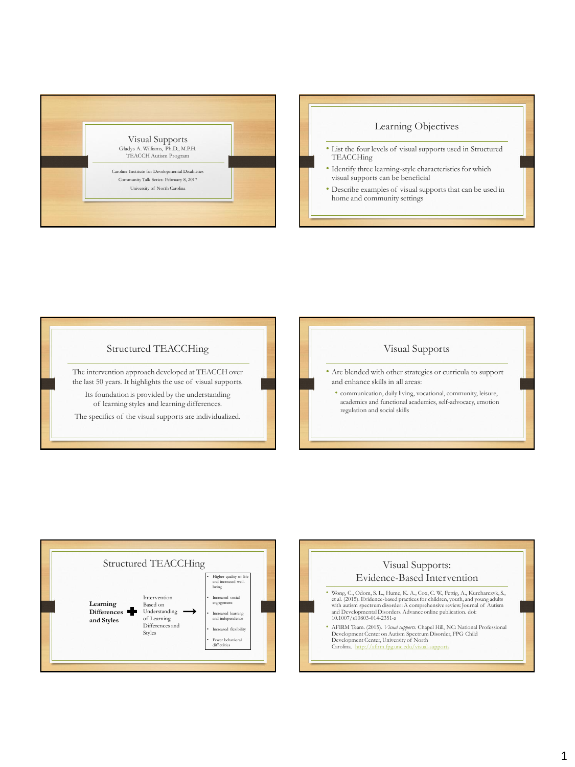

## Learning Objectives

- List the four levels of visual supports used in Structured **TEACCHing**
- Identify three learning-style characteristics for which visual supports can be beneficial
- Describe examples of visual supports that can be used in home and community settings







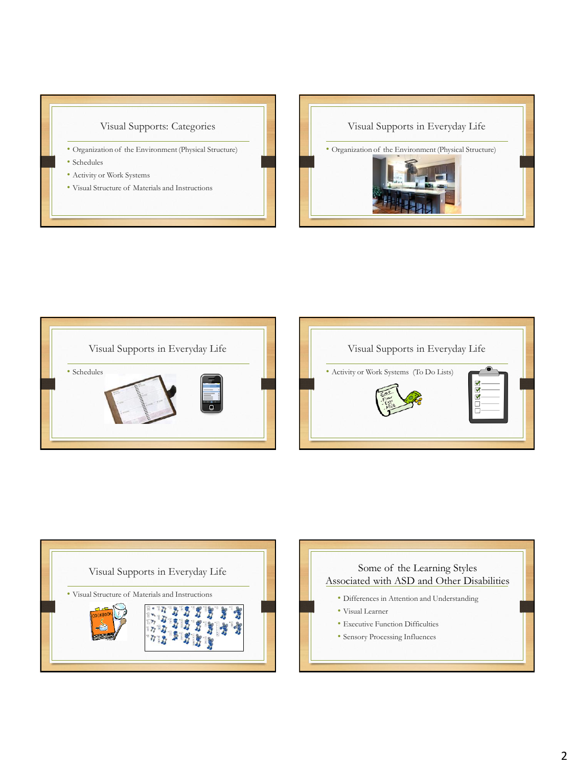## Visual Supports: Categories

- Organization of the Environment (Physical Structure)
- Schedules
- Activity or Work Systems
- Visual Structure of Materials and Instructions









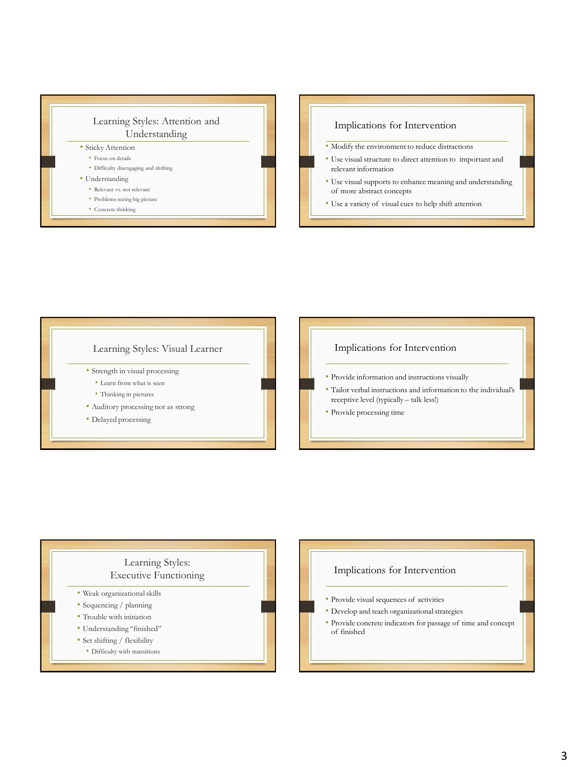







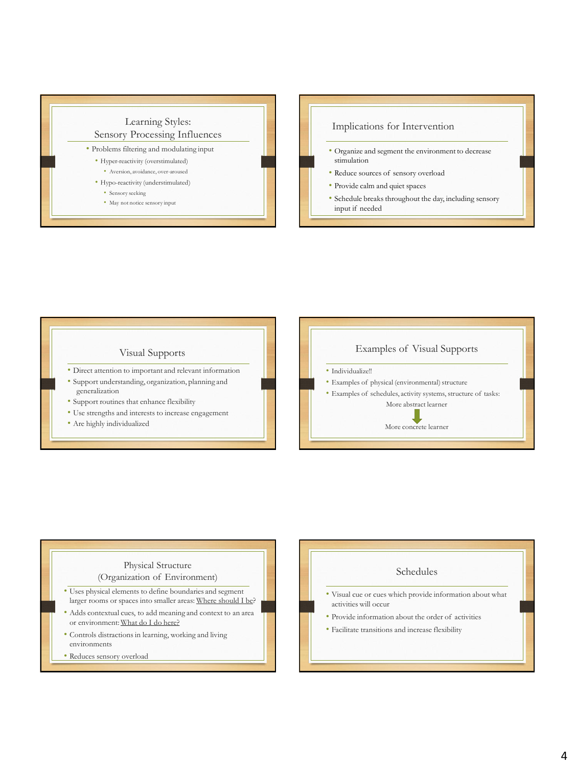